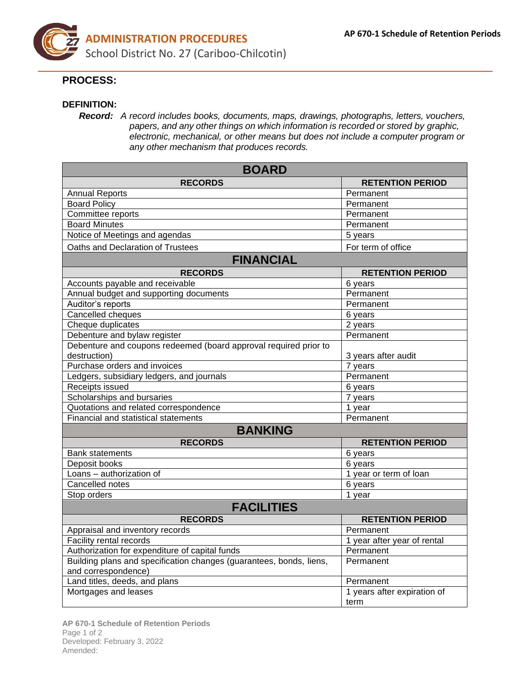

## **PROCESS:**

## **DEFINITION:**

*Record: A record includes books, documents, maps, drawings, photographs, letters, vouchers, papers, and any other things on which information is recorded or stored by graphic, electronic, mechanical, or other means but does not include a computer program or any other mechanism that produces records.*

| <b>BOARD</b>                                                                               |                                     |
|--------------------------------------------------------------------------------------------|-------------------------------------|
| <b>RECORDS</b>                                                                             | <b>RETENTION PERIOD</b>             |
| <b>Annual Reports</b>                                                                      | Permanent                           |
| <b>Board Policy</b>                                                                        | Permanent                           |
| Committee reports                                                                          | Permanent                           |
| <b>Board Minutes</b>                                                                       | Permanent                           |
| Notice of Meetings and agendas                                                             | 5 years                             |
| Oaths and Declaration of Trustees                                                          | For term of office                  |
| <b>FINANCIAL</b>                                                                           |                                     |
| <b>RECORDS</b>                                                                             | <b>RETENTION PERIOD</b>             |
| Accounts payable and receivable                                                            | 6 years                             |
| Annual budget and supporting documents                                                     | Permanent                           |
| Auditor's reports                                                                          | Permanent                           |
| Cancelled cheques                                                                          | 6 years                             |
| Cheque duplicates                                                                          | $2$ years                           |
| Debenture and bylaw register                                                               | Permanent                           |
| Debenture and coupons redeemed (board approval required prior to                           |                                     |
| destruction)                                                                               | 3 years after audit                 |
| Purchase orders and invoices                                                               | 7 years                             |
| Ledgers, subsidiary ledgers, and journals                                                  | Permanent                           |
| Receipts issued                                                                            | 6 years                             |
| Scholarships and bursaries                                                                 | 7 years                             |
| Quotations and related correspondence                                                      | 1 year                              |
| Financial and statistical statements                                                       | Permanent                           |
| <b>BANKING</b>                                                                             |                                     |
| <b>RECORDS</b>                                                                             | <b>RETENTION PERIOD</b>             |
| <b>Bank statements</b>                                                                     | 6 years                             |
| Deposit books                                                                              | 6 years                             |
| Loans - authorization of                                                                   | 1 year or term of loan              |
| Cancelled notes                                                                            | 6 years                             |
| Stop orders                                                                                | 1 year                              |
| <b>FACILITIES</b>                                                                          |                                     |
| <b>RECORDS</b>                                                                             | <b>RETENTION PERIOD</b>             |
| Appraisal and inventory records                                                            | Permanent                           |
| Facility rental records                                                                    | 1 year after year of rental         |
| Authorization for expenditure of capital funds                                             | Permanent                           |
| Building plans and specification changes (guarantees, bonds, liens,<br>and correspondence) | Permanent                           |
| Land titles, deeds, and plans                                                              | Permanent                           |
| Mortgages and leases                                                                       | 1 years after expiration of<br>term |

**AP 670-1 Schedule of Retention Periods** Page 1 of 2 Developed: February 3, 2022 Amended: